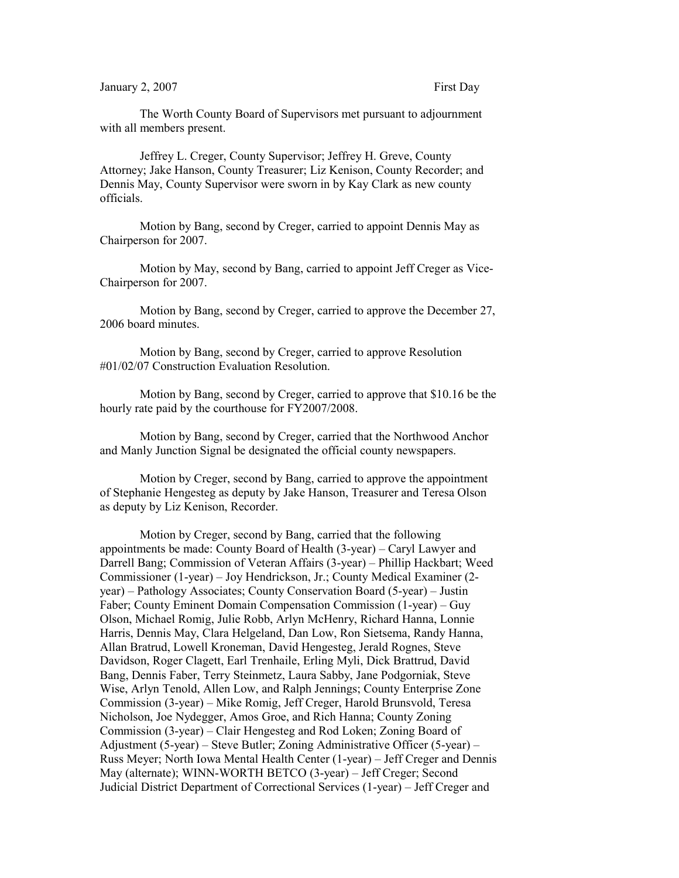The Worth County Board of Supervisors met pursuant to adjournment with all members present.

Jeffrey L. Creger, County Supervisor; Jeffrey H. Greve, County Attorney; Jake Hanson, County Treasurer; Liz Kenison, County Recorder; and Dennis May, County Supervisor were sworn in by Kay Clark as new county officials.

Motion by Bang, second by Creger, carried to appoint Dennis May as Chairperson for 2007.

Motion by May, second by Bang, carried to appoint Jeff Creger as Vice-Chairperson for 2007.

Motion by Bang, second by Creger, carried to approve the December 27, 2006 board minutes.

Motion by Bang, second by Creger, carried to approve Resolution #01/02/07 Construction Evaluation Resolution.

Motion by Bang, second by Creger, carried to approve that \$10.16 be the hourly rate paid by the courthouse for FY2007/2008.

Motion by Bang, second by Creger, carried that the Northwood Anchor and Manly Junction Signal be designated the official county newspapers.

Motion by Creger, second by Bang, carried to approve the appointment of Stephanie Hengesteg as deputy by Jake Hanson, Treasurer and Teresa Olson as deputy by Liz Kenison, Recorder.

Motion by Creger, second by Bang, carried that the following appointments be made: County Board of Health (3-year) – Caryl Lawyer and Darrell Bang; Commission of Veteran Affairs (3-year) – Phillip Hackbart; Weed Commissioner (1-year) – Joy Hendrickson, Jr.; County Medical Examiner (2 year) – Pathology Associates; County Conservation Board (5-year) – Justin Faber; County Eminent Domain Compensation Commission (1-year) – Guy Olson, Michael Romig, Julie Robb, Arlyn McHenry, Richard Hanna, Lonnie Harris, Dennis May, Clara Helgeland, Dan Low, Ron Sietsema, Randy Hanna, Allan Bratrud, Lowell Kroneman, David Hengesteg, Jerald Rognes, Steve Davidson, Roger Clagett, Earl Trenhaile, Erling Myli, Dick Brattrud, David Bang, Dennis Faber, Terry Steinmetz, Laura Sabby, Jane Podgorniak, Steve Wise, Arlyn Tenold, Allen Low, and Ralph Jennings; County Enterprise Zone Commission (3-year) – Mike Romig, Jeff Creger, Harold Brunsvold, Teresa Nicholson, Joe Nydegger, Amos Groe, and Rich Hanna; County Zoning Commission (3-year) – Clair Hengesteg and Rod Loken; Zoning Board of Adjustment (5-year) – Steve Butler; Zoning Administrative Officer (5-year) – Russ Meyer; North Iowa Mental Health Center (1-year) – Jeff Creger and Dennis May (alternate); WINN-WORTH BETCO (3-year) – Jeff Creger; Second Judicial District Department of Correctional Services (1-year) – Jeff Creger and